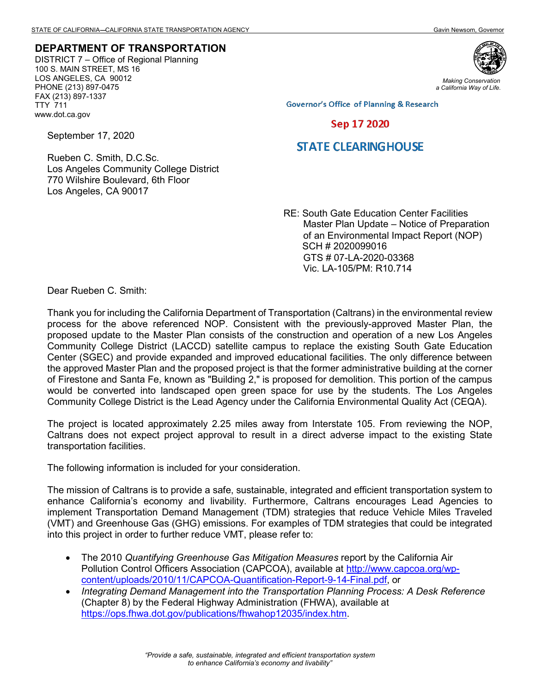## **DEPARTMENT OF TRANSPORTATION**

DISTRICT 7 – Office of Regional Planning 100 S. MAIN STREET, MS 16 LOS ANGELES, CA 90012 PHONE (213) 897-0475 FAX (213) 897-1337 TTY 711 www.dot.ca.gov



*Making Conservation a California Way of Life.*

**Governor's Office of Planning & Research** 

## Sep 17 2020

## **STATE CLEARING HOUSE**

Rueben C. Smith, D.C.Sc. Los Angeles Community College District 770 Wilshire Boulevard, 6th Floor Los Angeles, CA 90017

> RE: South Gate Education Center Facilities Master Plan Update – Notice of Preparation of an Environmental Impact Report (NOP) SCH # 2020099016 GTS # 07-LA-2020-03368 Vic. LA-105/PM: R10.714

Dear Rueben C. Smith:

September 17, 2020

Thank you for including the California Department of Transportation (Caltrans) in the environmental review process for the above referenced NOP. Consistent with the previously-approved Master Plan, the proposed update to the Master Plan consists of the construction and operation of a new Los Angeles Community College District (LACCD) satellite campus to replace the existing South Gate Education Center (SGEC) and provide expanded and improved educational facilities. The only difference between the approved Master Plan and the proposed project is that the former administrative building at the corner of Firestone and Santa Fe, known as "Building 2," is proposed for demolition. This portion of the campus would be converted into landscaped open green space for use by the students. The Los Angeles Community College District is the Lead Agency under the California Environmental Quality Act (CEQA).

The project is located approximately 2.25 miles away from Interstate 105. From reviewing the NOP, Caltrans does not expect project approval to result in a direct adverse impact to the existing State transportation facilities.

The following information is included for your consideration.

The mission of Caltrans is to provide a safe, sustainable, integrated and efficient transportation system to enhance California's economy and livability. Furthermore, Caltrans encourages Lead Agencies to implement Transportation Demand Management (TDM) strategies that reduce Vehicle Miles Traveled (VMT) and Greenhouse Gas (GHG) emissions. For examples of TDM strategies that could be integrated into this project in order to further reduce VMT, please refer to:

- The 2010 *Quantifying Greenhouse Gas Mitigation Measures* report by the California Air Pollution Control Officers Association (CAPCOA), available at http://www.capcoa.org/wpcontent/uploads/2010/11/CAPCOA-Quantification-Report-9-14-Final.pdf, or
- *Integrating Demand Management into the Transportation Planning Process: A Desk Reference* (Chapter 8) by the Federal Highway Administration (FHWA), available at [https://ops.fhwa.dot.gov/publications/fhwahop12035/index.htm.](https://ops.fhwa.dot.gov/publications/fhwahop12035/index.htm)